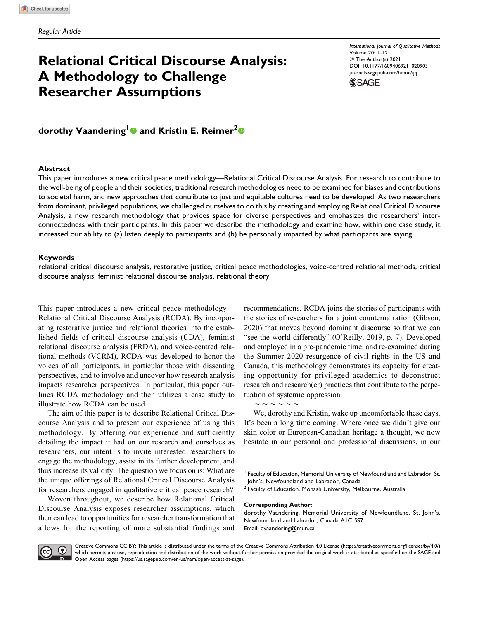# **Relational Critical Discourse Analysis: A Methodology to Challenge Researcher Assumptions**

*International Journal of Qualitative Methods* Volume 20: 1–12 © The Author(s) 2021 [DOI: 10.1177/16094069211020903](https://doi.org/10.1177/16094069211020903) [journals.sagepub.com/home/ijq](http://journals.sagepub.com/home/ijq)



**dorothy Vaandering<sup>1</sup> and Kristin E. Reimer<sup>2</sup>**

#### **Abstract**

This paper introduces a new critical peace methodology—Relational Critical Discourse Analysis. For research to contribute to the well-being of people and their societies, traditional research methodologies need to be examined for biases and contributions to societal harm, and new approaches that contribute to just and equitable cultures need to be developed. As two researchers from dominant, privileged populations, we challenged ourselves to do this by creating and employing Relational Critical Discourse Analysis, a new research methodology that provides space for diverse perspectives and emphasizes the researchers' interconnectedness with their participants. In this paper we describe the methodology and examine how, within one case study, it increased our ability to (a) listen deeply to participants and (b) be personally impacted by what participants are saying.

#### **Keywords**

relational critical discourse analysis, restorative justice, critical peace methodologies, voice-centred relational methods, critical discourse analysis, feminist relational discourse analysis, relational theory

This paper introduces a new critical peace methodology— Relational Critical Discourse Analysis (RCDA). By incorporating restorative justice and relational theories into the established fields of critical discourse analysis (CDA), feminist relational discourse analysis (FRDA), and voice-centred relational methods (VCRM), RCDA was developed to honor the voices of all participants, in particular those with dissenting perspectives, and to involve and uncover how research analysis impacts researcher perspectives. In particular, this paper outlines RCDA methodology and then utilizes a case study to illustrate how RCDA can be used.

The aim of this paper is to describe Relational Critical Discourse Analysis and to present our experience of using this methodology. By offering our experience and sufficiently detailing the impact it had on our research and ourselves as researchers, our intent is to invite interested researchers to engage the methodology, assist in its further development, and thus increase its validity. The question we focus on is: What are the unique offerings of Relational Critical Discourse Analysis for researchers engaged in qualitative critical peace research?

Woven throughout, we describe how Relational Critical Discourse Analysis exposes researcher assumptions, which then can lead to opportunities for researcher transformation that allows for the reporting of more substantial findings and

recommendations. RCDA joins the stories of participants with the stories of researchers for a joint counternarration (Gibson, 2020) that moves beyond dominant discourse so that we can "see the world differently" (O'Reilly, 2019, p. 7). Developed and employed in a pre-pandemic time, and re-examined during the Summer 2020 resurgence of civil rights in the US and Canada, this methodology demonstrates its capacity for creating opportunity for privileged academics to deconstruct research and research(er) practices that contribute to the perpetuation of systemic oppression.

 $\sim$   $\sim$   $\sim$   $\sim$   $\sim$ 

We, dorothy and Kristin, wake up uncomfortable these days. It's been a long time coming. Where once we didn't give our skin color or European-Canadian heritage a thought, we now hesitate in our personal and professional discussions, in our

<sup>2</sup> Faculty of Education, Monash University, Melbourne, Australia

#### **Corresponding Author:**

dorothy Vaandering, Memorial University of Newfoundland, St. John's, Newfoundland and Labrador, Canada A1C 5S7. Email: [dvaandering@mun.ca](mailto:dvaandering@mun.ca)



Creative Commons CC BY: This article is distributed under the terms of the Creative Commons Attribution 4.0 License [\(https://creativecommons.org/licenses/by/4.0/\)](https://creativecommons.org/licenses/by/4.0/) which permits any use, reproduction and distribution of the work without further permission provided the original work is attributed as specified on the SAGE and Open Access pages [\(https://us.sagepub.com/en-us/nam/open-access-at-sage\)](https://us.sagepub.com/en-us/nam/open-access-at-sage).

 $^1$  Faculty of Education, Memorial University of Newfoundland and Labrador, St. John's, Newfoundland and Labrador, Canada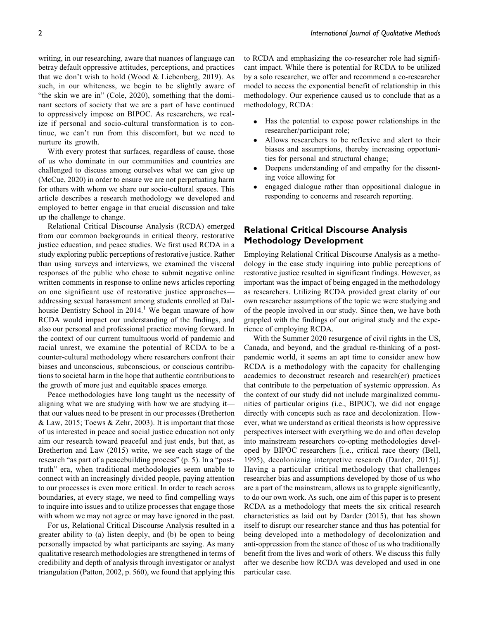writing, in our researching, aware that nuances of language can betray default oppressive attitudes, perceptions, and practices that we don't wish to hold (Wood & Liebenberg, 2019). As such, in our whiteness, we begin to be slightly aware of "the skin we are in" (Cole, 2020), something that the dominant sectors of society that we are a part of have continued to oppressively impose on BIPOC. As researchers, we realize if personal and socio-cultural transformation is to continue, we can't run from this discomfort, but we need to nurture its growth.

With every protest that surfaces, regardless of cause, those of us who dominate in our communities and countries are challenged to discuss among ourselves what we can give up (McCue, 2020) in order to ensure we are not perpetuating harm for others with whom we share our socio-cultural spaces. This article describes a research methodology we developed and employed to better engage in that crucial discussion and take up the challenge to change.

Relational Critical Discourse Analysis (RCDA) emerged from our common backgrounds in critical theory, restorative justice education, and peace studies. We first used RCDA in a study exploring public perceptions of restorative justice. Rather than using surveys and interviews, we examined the visceral responses of the public who chose to submit negative online written comments in response to online news articles reporting on one significant use of restorative justice approaches addressing sexual harassment among students enrolled at Dalhousie Dentistry School in  $2014<sup>1</sup>$  We began unaware of how RCDA would impact our understanding of the findings, and also our personal and professional practice moving forward. In the context of our current tumultuous world of pandemic and racial unrest, we examine the potential of RCDA to be a counter-cultural methodology where researchers confront their biases and unconscious, subconscious, or conscious contributions to societal harm in the hope that authentic contributions to the growth of more just and equitable spaces emerge.

Peace methodologies have long taught us the necessity of aligning what we are studying with how we are studying it that our values need to be present in our processes (Bretherton & Law, 2015; Toews & Zehr, 2003). It is important that those of us interested in peace and social justice education not only aim our research toward peaceful and just ends, but that, as Bretherton and Law (2015) write, we see each stage of the research "as part of a peacebuilding process" (p. 5). In a "posttruth" era, when traditional methodologies seem unable to connect with an increasingly divided people, paying attention to our processes is even more critical. In order to reach across boundaries, at every stage, we need to find compelling ways to inquire into issues and to utilize processes that engage those with whom we may not agree or may have ignored in the past.

For us, Relational Critical Discourse Analysis resulted in a greater ability to (a) listen deeply, and (b) be open to being personally impacted by what participants are saying. As many qualitative research methodologies are strengthened in terms of credibility and depth of analysis through investigator or analyst triangulation (Patton, 2002, p. 560), we found that applying this

to RCDA and emphasizing the co-researcher role had significant impact. While there is potential for RCDA to be utilized by a solo researcher, we offer and recommend a co-researcher model to access the exponential benefit of relationship in this methodology. Our experience caused us to conclude that as a methodology, RCDA:

- $\bullet$  Has the potential to expose power relationships in the researcher/participant role;
- $\bullet$  Allows researchers to be reflexive and alert to their biases and assumptions, thereby increasing opportunities for personal and structural change;
- $\bullet$  Deepens understanding of and empathy for the dissenting voice allowing for
- $\bullet$  engaged dialogue rather than oppositional dialogue in responding to concerns and research reporting.

# **Relational Critical Discourse Analysis Methodology Development**

Employing Relational Critical Discourse Analysis as a methodology in the case study inquiring into public perceptions of restorative justice resulted in significant findings. However, as important was the impact of being engaged in the methodology as researchers. Utilizing RCDA provided great clarity of our own researcher assumptions of the topic we were studying and of the people involved in our study. Since then, we have both grappled with the findings of our original study and the experience of employing RCDA.

With the Summer 2020 resurgence of civil rights in the US, Canada, and beyond, and the gradual re-thinking of a postpandemic world, it seems an apt time to consider anew how RCDA is a methodology with the capacity for challenging academics to deconstruct research and research(er) practices that contribute to the perpetuation of systemic oppression. As the context of our study did not include marginalized communities of particular origins (i.e., BIPOC), we did not engage directly with concepts such as race and decolonization. However, what we understand as critical theorists is how oppressive perspectives intersect with everything we do and often develop into mainstream researchers co-opting methodologies developed by BIPOC researchers [i.e., critical race theory (Bell, 1995), decolonizing interpretive research (Darder, 2015)]. Having a particular critical methodology that challenges researcher bias and assumptions developed by those of us who are a part of the mainstream, allows us to grapple significantly, to do our own work. As such, one aim of this paper is to present RCDA as a methodology that meets the six critical research characteristics as laid out by Darder (2015), that has shown itself to disrupt our researcher stance and thus has potential for being developed into a methodology of decolonization and anti-oppression from the stance of those of us who traditionally benefit from the lives and work of others. We discuss this fully after we describe how RCDA was developed and used in one particular case.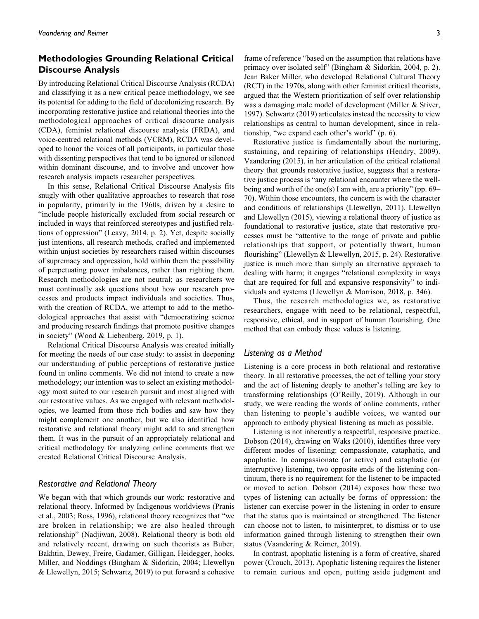# **Methodologies Grounding Relational Critical Discourse Analysis**

By introducing Relational Critical Discourse Analysis (RCDA) and classifying it as a new critical peace methodology, we see its potential for adding to the field of decolonizing research. By incorporating restorative justice and relational theories into the methodological approaches of critical discourse analysis (CDA), feminist relational discourse analysis (FRDA), and voice-centred relational methods (VCRM), RCDA was developed to honor the voices of all participants, in particular those with dissenting perspectives that tend to be ignored or silenced within dominant discourse, and to involve and uncover how research analysis impacts researcher perspectives.

In this sense, Relational Critical Discourse Analysis fits snugly with other qualitative approaches to research that rose in popularity, primarily in the 1960s, driven by a desire to "include people historically excluded from social research or included in ways that reinforced stereotypes and justified relations of oppression" (Leavy, 2014, p. 2). Yet, despite socially just intentions, all research methods, crafted and implemented within unjust societies by researchers raised within discourses of supremacy and oppression, hold within them the possibility of perpetuating power imbalances, rather than righting them. Research methodologies are not neutral; as researchers we must continually ask questions about how our research processes and products impact individuals and societies. Thus, with the creation of RCDA, we attempt to add to the methodological approaches that assist with "democratizing science and producing research findings that promote positive changes in society" (Wood & Liebenberg, 2019, p. 1).

Relational Critical Discourse Analysis was created initially for meeting the needs of our case study: to assist in deepening our understanding of public perceptions of restorative justice found in online comments. We did not intend to create a new methodology; our intention was to select an existing methodology most suited to our research pursuit and most aligned with our restorative values. As we engaged with relevant methodologies, we learned from those rich bodies and saw how they might complement one another, but we also identified how restorative and relational theory might add to and strengthen them. It was in the pursuit of an appropriately relational and critical methodology for analyzing online comments that we created Relational Critical Discourse Analysis.

### *Restorative and Relational Theory*

We began with that which grounds our work: restorative and relational theory. Informed by Indigenous worldviews (Pranis et al., 2003; Ross, 1996), relational theory recognizes that "we are broken in relationship; we are also healed through relationship" (Nadjiwan, 2008). Relational theory is both old and relatively recent, drawing on such theorists as Buber, Bakhtin, Dewey, Freire, Gadamer, Gilligan, Heidegger, hooks, Miller, and Noddings (Bingham & Sidorkin, 2004; Llewellyn & Llewellyn, 2015; Schwartz, 2019) to put forward a cohesive frame of reference "based on the assumption that relations have primacy over isolated self" (Bingham & Sidorkin, 2004, p. 2). Jean Baker Miller, who developed Relational Cultural Theory (RCT) in the 1970s, along with other feminist critical theorists, argued that the Western prioritization of self over relationship was a damaging male model of development (Miller & Stiver, 1997). Schwartz (2019) articulates instead the necessity to view relationships as central to human development, since in relationship, "we expand each other's world" (p. 6).

Restorative justice is fundamentally about the nurturing, sustaining, and repairing of relationships (Hendry, 2009). Vaandering (2015), in her articulation of the critical relational theory that grounds restorative justice, suggests that a restorative justice process is "any relational encounter where the wellbeing and worth of the one(s) I am with, are a priority" (pp. 69– 70). Within those encounters, the concern is with the character and conditions of relationships (Llewellyn, 2011). Llewellyn and Llewellyn (2015), viewing a relational theory of justice as foundational to restorative justice, state that restorative processes must be "attentive to the range of private and public relationships that support, or potentially thwart, human flourishing" (Llewellyn & Llewellyn, 2015, p. 24). Restorative justice is much more than simply an alternative approach to dealing with harm; it engages "relational complexity in ways that are required for full and expansive responsivity" to individuals and systems (Llewellyn & Morrison, 2018, p. 346).

Thus, the research methodologies we, as restorative researchers, engage with need to be relational, respectful, responsive, ethical, and in support of human flourishing. One method that can embody these values is listening.

### *Listening as a Method*

Listening is a core process in both relational and restorative theory. In all restorative processes, the act of telling your story and the act of listening deeply to another's telling are key to transforming relationships (O'Reilly, 2019). Although in our study, we were reading the words of online comments, rather than listening to people's audible voices, we wanted our approach to embody physical listening as much as possible.

Listening is not inherently a respectful, responsive practice. Dobson (2014), drawing on Waks (2010), identifies three very different modes of listening: compassionate, cataphatic, and apophatic. In compassionate (or active) and cataphatic (or interruptive) listening, two opposite ends of the listening continuum, there is no requirement for the listener to be impacted or moved to action. Dobson (2014) exposes how these two types of listening can actually be forms of oppression: the listener can exercise power in the listening in order to ensure that the status quo is maintained or strengthened. The listener can choose not to listen, to misinterpret, to dismiss or to use information gained through listening to strengthen their own status (Vaandering & Reimer, 2019).

In contrast, apophatic listening is a form of creative, shared power (Crouch, 2013). Apophatic listening requires the listener to remain curious and open, putting aside judgment and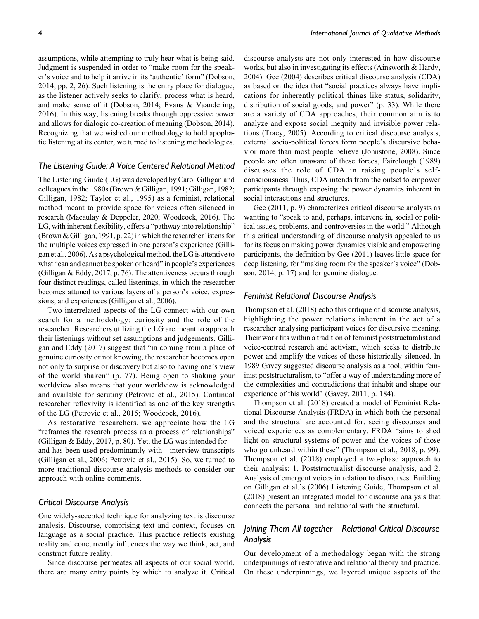assumptions, while attempting to truly hear what is being said. Judgment is suspended in order to "make room for the speaker's voice and to help it arrive in its 'authentic' form" (Dobson, 2014, pp. 2, 26). Such listening is the entry place for dialogue, as the listener actively seeks to clarify, process what is heard, and make sense of it (Dobson, 2014; Evans & Vaandering, 2016). In this way, listening breaks through oppressive power and allows for dialogic co-creation of meaning (Dobson, 2014). Recognizing that we wished our methodology to hold apophatic listening at its center, we turned to listening methodologies.

### *The Listening Guide: A Voice Centered Relational Method*

The Listening Guide (LG) was developed by Carol Gilligan and colleagues in the 1980s (Brown & Gilligan, 1991; Gilligan, 1982; Gilligan, 1982; Taylor et al., 1995) as a feminist, relational method meant to provide space for voices often silenced in research (Macaulay & Deppeler, 2020; Woodcock, 2016). The LG, with inherent flexibility, offers a "pathway into relationship" (Brown & Gilligan, 1991, p. 22) in which the researcher listens for the multiple voices expressed in one person's experience (Gilligan et al., 2006). As a psychological method, the LG is attentive to what "can and cannot be spoken or heard" in people's experiences (Gilligan & Eddy, 2017, p. 76). The attentiveness occurs through four distinct readings, called listenings, in which the researcher becomes attuned to various layers of a person's voice, expressions, and experiences (Gilligan et al., 2006).

Two interrelated aspects of the LG connect with our own search for a methodology: curiosity and the role of the researcher. Researchers utilizing the LG are meant to approach their listenings without set assumptions and judgements. Gilligan and Eddy (2017) suggest that "in coming from a place of genuine curiosity or not knowing, the researcher becomes open not only to surprise or discovery but also to having one's view of the world shaken" (p. 77). Being open to shaking your worldview also means that your worldview is acknowledged and available for scrutiny (Petrovic et al., 2015). Continual researcher reflexivity is identified as one of the key strengths of the LG (Petrovic et al., 2015; Woodcock, 2016).

As restorative researchers, we appreciate how the LG "reframes the research process as a process of relationships" (Gilligan & Eddy, 2017, p. 80). Yet, the LG was intended for and has been used predominantly with—interview transcripts (Gilligan et al., 2006; Petrovic et al., 2015). So, we turned to more traditional discourse analysis methods to consider our approach with online comments.

### *Critical Discourse Analysis*

One widely-accepted technique for analyzing text is discourse analysis. Discourse, comprising text and context, focuses on language as a social practice. This practice reflects existing reality and concurrently influences the way we think, act, and construct future reality.

Since discourse permeates all aspects of our social world, there are many entry points by which to analyze it. Critical discourse analysts are not only interested in how discourse works, but also in investigating its effects (Ainsworth & Hardy, 2004). Gee (2004) describes critical discourse analysis (CDA) as based on the idea that "social practices always have implications for inherently political things like status, solidarity, distribution of social goods, and power" (p. 33). While there are a variety of CDA approaches, their common aim is to analyze and expose social inequity and invisible power relations (Tracy, 2005). According to critical discourse analysts, external socio-political forces form people's discursive behavior more than most people believe (Johnstone, 2008). Since people are often unaware of these forces, Fairclough (1989) discusses the role of CDA in raising people's selfconsciousness. Thus, CDA intends from the outset to empower participants through exposing the power dynamics inherent in social interactions and structures.

Gee (2011, p. 9) characterizes critical discourse analysts as wanting to "speak to and, perhaps, intervene in, social or political issues, problems, and controversies in the world." Although this critical understanding of discourse analysis appealed to us for its focus on making power dynamics visible and empowering participants, the definition by Gee (2011) leaves little space for deep listening, for "making room for the speaker's voice" (Dobson, 2014, p. 17) and for genuine dialogue.

### *Feminist Relational Discourse Analysis*

Thompson et al. (2018) echo this critique of discourse analysis, highlighting the power relations inherent in the act of a researcher analysing participant voices for discursive meaning. Their work fits within a tradition of feminist poststructuralist and voice-centred research and activism, which seeks to distribute power and amplify the voices of those historically silenced. In 1989 Gavey suggested discourse analysis as a tool, within feminist poststructuralism, to "offer a way of understanding more of the complexities and contradictions that inhabit and shape our experience of this world" (Gavey, 2011, p. 184).

Thompson et al. (2018) created a model of Feminist Relational Discourse Analysis (FRDA) in which both the personal and the structural are accounted for, seeing discourses and voiced experiences as complementary. FRDA "aims to shed light on structural systems of power and the voices of those who go unheard within these" (Thompson et al., 2018, p. 99). Thompson et al. (2018) employed a two-phase approach to their analysis: 1. Poststructuralist discourse analysis, and 2. Analysis of emergent voices in relation to discourses. Building on Gilligan et al.'s (2006) Listening Guide, Thompson et al. (2018) present an integrated model for discourse analysis that connects the personal and relational with the structural.

## *Joining Them All together—Relational Critical Discourse Analysis*

Our development of a methodology began with the strong underpinnings of restorative and relational theory and practice. On these underpinnings, we layered unique aspects of the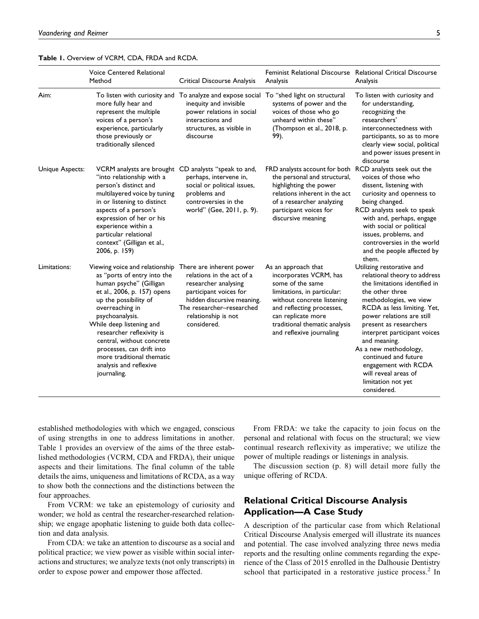**Table 1.** Overview of VCRM, CDA, FRDA and RCDA.

|                 | <b>Voice Centered Relational</b><br>Method                                                                                                                                                                                                                                                                                                                                                               | Critical Discourse Analysis                                                                                                                                                                                 | Feminist Relational Discourse Relational Critical Discourse<br>Analysis                                                                                                                                                                        | Analysis                                                                                                                                                                                                                                                                                                                                                                                                            |
|-----------------|----------------------------------------------------------------------------------------------------------------------------------------------------------------------------------------------------------------------------------------------------------------------------------------------------------------------------------------------------------------------------------------------------------|-------------------------------------------------------------------------------------------------------------------------------------------------------------------------------------------------------------|------------------------------------------------------------------------------------------------------------------------------------------------------------------------------------------------------------------------------------------------|---------------------------------------------------------------------------------------------------------------------------------------------------------------------------------------------------------------------------------------------------------------------------------------------------------------------------------------------------------------------------------------------------------------------|
| Aim:            | more fully hear and<br>represent the multiple<br>voices of a person's<br>experience, particularly<br>those previously or<br>traditionally silenced                                                                                                                                                                                                                                                       | To listen with curiosity and To analyze and expose social To "shed light on structural<br>inequity and invisible<br>power relations in social<br>interactions and<br>structures, as visible in<br>discourse | systems of power and the<br>voices of those who go<br>unheard within these"<br>(Thompson et al., 2018, p.<br>99).                                                                                                                              | To listen with curiosity and<br>for understanding,<br>recognizing the<br>researchers'<br>interconnectedness with<br>participants, so as to more<br>clearly view social, political<br>and power issues present in<br>discourse                                                                                                                                                                                       |
| Unique Aspects: | VCRM analysts are brought CD analysts "speak to and,<br>"into relationship with a<br>person's distinct and<br>multilayered voice by tuning<br>in or listening to distinct<br>aspects of a person's<br>expression of her or his<br>experience within a<br>particular relational<br>context" (Gilligan et al.,<br>2006, p. 159)                                                                            | perhaps, intervene in,<br>social or political issues,<br>problems and<br>controversies in the<br>world" (Gee, 2011, p. 9).                                                                                  | FRD analysts account for both RCD analysts seek out the<br>the personal and structural,<br>highlighting the power<br>relations inherent in the act<br>of a researcher analyzing<br>participant voices for<br>discursive meaning                | voices of those who<br>dissent, listening with<br>curiosity and openness to<br>being changed.<br>RCD analysts seek to speak<br>with and, perhaps, engage<br>with social or political<br>issues, problems, and<br>controversies in the world<br>and the people affected by<br>them.                                                                                                                                  |
| Limitations:    | Viewing voice and relationship There are inherent power<br>as "ports of entry into the<br>human psyche" (Gilligan<br>et al., 2006, p. 157) opens<br>up the possibility of<br>overreaching in<br>psychoanalysis.<br>While deep listening and<br>researcher reflexivity is<br>central, without concrete<br>processes, can drift into<br>more traditional thematic<br>analysis and reflexive<br>journaling. | relations in the act of a<br>researcher analysing<br>participant voices for<br>hidden discursive meaning.<br>The researcher-researched<br>relationship is not<br>considered.                                | As an approach that<br>incorporates VCRM, has<br>some of the same<br>limitations, in particular:<br>without concrete listening<br>and reflecting processes,<br>can replicate more<br>traditional thematic analysis<br>and reflexive journaling | Utilizing restorative and<br>relational theory to address<br>the limitations identified in<br>the other three<br>methodologies, we view<br>RCDA as less limiting. Yet,<br>power relations are still<br>present as researchers<br>interpret participant voices<br>and meaning.<br>As a new methodology,<br>continued and future<br>engagement with RCDA<br>will reveal areas of<br>limitation not yet<br>considered. |

established methodologies with which we engaged, conscious of using strengths in one to address limitations in another. Table 1 provides an overview of the aims of the three established methodologies (VCRM, CDA and FRDA), their unique aspects and their limitations. The final column of the table details the aims, uniqueness and limitations of RCDA, as a way to show both the connections and the distinctions between the four approaches.

From VCRM: we take an epistemology of curiosity and wonder; we hold as central the researcher-researched relationship; we engage apophatic listening to guide both data collection and data analysis.

From CDA: we take an attention to discourse as a social and political practice; we view power as visible within social interactions and structures; we analyze texts (not only transcripts) in order to expose power and empower those affected.

From FRDA: we take the capacity to join focus on the personal and relational with focus on the structural; we view continual research reflexivity as imperative; we utilize the power of multiple readings or listenings in analysis.

The discussion section (p. 8) will detail more fully the unique offering of RCDA.

# **Relational Critical Discourse Analysis Application—A Case Study**

A description of the particular case from which Relational Critical Discourse Analysis emerged will illustrate its nuances and potential. The case involved analyzing three news media reports and the resulting online comments regarding the experience of the Class of 2015 enrolled in the Dalhousie Dentistry school that participated in a restorative justice process.<sup>2</sup> In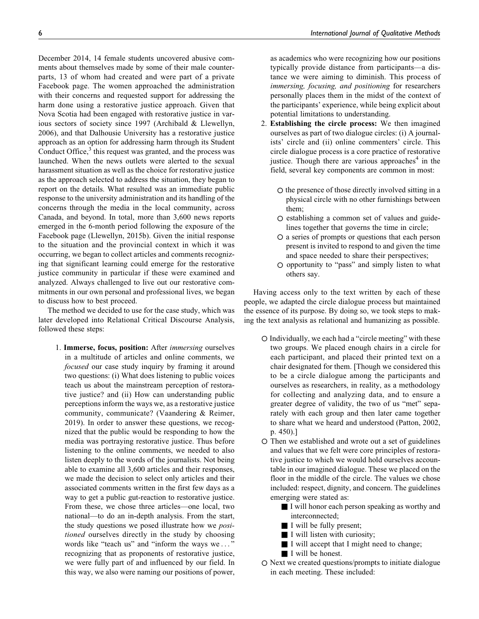December 2014, 14 female students uncovered abusive comments about themselves made by some of their male counterparts, 13 of whom had created and were part of a private Facebook page. The women approached the administration with their concerns and requested support for addressing the harm done using a restorative justice approach. Given that Nova Scotia had been engaged with restorative justice in various sectors of society since 1997 (Archibald & Llewellyn, 2006), and that Dalhousie University has a restorative justice approach as an option for addressing harm through its Student Conduct Office, $3$  this request was granted, and the process was launched. When the news outlets were alerted to the sexual harassment situation as well as the choice for restorative justice as the approach selected to address the situation, they began to report on the details. What resulted was an immediate public response to the university administration and its handling of the concerns through the media in the local community, across Canada, and beyond. In total, more than 3,600 news reports emerged in the 6-month period following the exposure of the Facebook page (Llewellyn, 2015b). Given the initial response to the situation and the provincial context in which it was occurring, we began to collect articles and comments recognizing that significant learning could emerge for the restorative justice community in particular if these were examined and analyzed. Always challenged to live out our restorative commitments in our own personal and professional lives, we began to discuss how to best proceed.

The method we decided to use for the case study, which was later developed into Relational Critical Discourse Analysis, followed these steps:

1. Immerse, focus, position: After immersing ourselves in a multitude of articles and online comments, we focused our case study inquiry by framing it around two questions: (i) What does listening to public voices teach us about the mainstream perception of restorative justice? and (ii) How can understanding public perceptions inform the ways we, as a restorative justice community, communicate? (Vaandering & Reimer, 2019). In order to answer these questions, we recognized that the public would be responding to how the media was portraying restorative justice. Thus before listening to the online comments, we needed to also listen deeply to the words of the journalists. Not being able to examine all 3,600 articles and their responses, we made the decision to select only articles and their associated comments written in the first few days as a way to get a public gut-reaction to restorative justice. From these, we chose three articles—one local, two national—to do an in-depth analysis. From the start, the study questions we posed illustrate how we positioned ourselves directly in the study by choosing words like "teach us" and "inform the ways we..." recognizing that as proponents of restorative justice, we were fully part of and influenced by our field. In this way, we also were naming our positions of power, as academics who were recognizing how our positions typically provide distance from participants—a distance we were aiming to diminish. This process of immersing, focusing, and positioning for researchers personally places them in the midst of the context of the participants' experience, while being explicit about potential limitations to understanding.

- 2. Establishing the circle process: We then imagined ourselves as part of two dialogue circles: (i) A journalists' circle and (ii) online commenters' circle. This circle dialogue process is a core practice of restorative justice. Though there are various approaches $4$  in the field, several key components are common in most:
	- $\circ$  the presence of those directly involved sitting in a physical circle with no other furnishings between them;
	- $\circ$  establishing a common set of values and guidelines together that governs the time in circle;
	- a series of prompts or questions that each person present is invited to respond to and given the time and space needed to share their perspectives;
	- opportunity to "pass" and simply listen to what others say.

Having access only to the text written by each of these people, we adapted the circle dialogue process but maintained the essence of its purpose. By doing so, we took steps to making the text analysis as relational and humanizing as possible.

- Individually, we each had a "circle meeting" with these two groups. We placed enough chairs in a circle for each participant, and placed their printed text on a chair designated for them. [Though we considered this to be a circle dialogue among the participants and ourselves as researchers, in reality, as a methodology for collecting and analyzing data, and to ensure a greater degree of validity, the two of us "met" separately with each group and then later came together to share what we heard and understood (Patton, 2002, p. 450).]
- Then we established and wrote out a set of guidelines and values that we felt were core principles of restorative justice to which we would hold ourselves accountable in our imagined dialogue. These we placed on the floor in the middle of the circle. The values we chose included: respect, dignity, and concern. The guidelines emerging were stated as:
	- I will honor each person speaking as worthy and interconnected;
	- I will be fully present;
	- I will listen with curiosity;
	- I will accept that I might need to change;
	- I will be honest.
- O Next we created questions/prompts to initiate dialogue in each meeting. These included: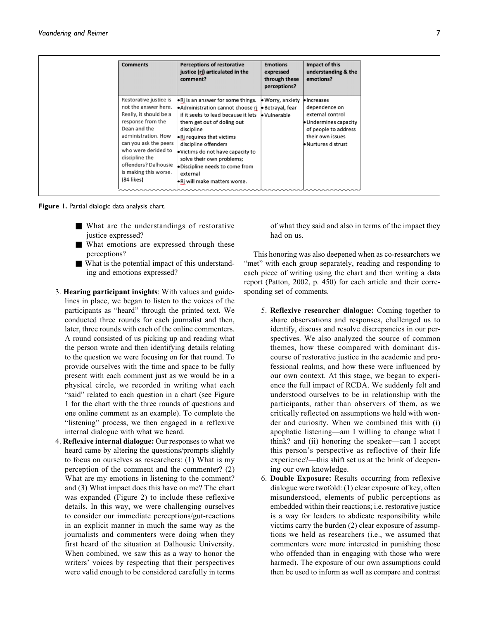| <b>Comments</b>                                                                                                                                                                                                                                                       | <b>Perceptions of restorative</b><br>justice (rj) articulated in the<br>comment?                                                                                                                                                                                                                                                                                                                               | <b>Emotions</b><br>expressed<br>through these<br>perceptions? | Impact of this<br>understanding & the<br>emotions?                                                                                           |
|-----------------------------------------------------------------------------------------------------------------------------------------------------------------------------------------------------------------------------------------------------------------------|----------------------------------------------------------------------------------------------------------------------------------------------------------------------------------------------------------------------------------------------------------------------------------------------------------------------------------------------------------------------------------------------------------------|---------------------------------------------------------------|----------------------------------------------------------------------------------------------------------------------------------------------|
| Restorative justice is<br>not the answer here.<br>Really, it should be a<br>response from the<br>Dean and the<br>administration. How<br>can you ask the peers<br>who were derided to<br>discipline the<br>offenders? Dalhousie<br>is making this worse.<br>(84 likes) | $\bullet$ Ri is an answer for some things.<br>Administration cannot choose rj b Betrayal, fear<br>if it seeks to lead because it lets b Vulnerable<br>them get out of doling out<br>discipline<br>$\bullet$ Ri requires that victims<br>discipline offenders<br>. Victims do not have capacity to<br>solve their own problems;<br>· Discipline needs to come from<br>external<br>. Ri will make matters worse. | • Worry, anxiety                                              | · Increases<br>dependence on<br>external control<br>· Undermines capacity<br>of people to address<br>their own issues<br>· Nurtures distrust |

**Figure 1.** Partial dialogic data analysis chart.

- What are the understandings of restorative justice expressed?
- What emotions are expressed through these perceptions?
- What is the potential impact of this understanding and emotions expressed?
- 3. Hearing participant insights: With values and guidelines in place, we began to listen to the voices of the participants as "heard" through the printed text. We conducted three rounds for each journalist and then, later, three rounds with each of the online commenters. A round consisted of us picking up and reading what the person wrote and then identifying details relating to the question we were focusing on for that round. To provide ourselves with the time and space to be fully present with each comment just as we would be in a physical circle, we recorded in writing what each "said" related to each question in a chart (see Figure 1 for the chart with the three rounds of questions and one online comment as an example). To complete the "listening" process, we then engaged in a reflexive internal dialogue with what we heard.
- 4. Reflexive internal dialogue: Our responses to what we heard came by altering the questions/prompts slightly to focus on ourselves as researchers: (1) What is my perception of the comment and the commenter? (2) What are my emotions in listening to the comment? and (3) What impact does this have on me? The chart was expanded (Figure 2) to include these reflexive details. In this way, we were challenging ourselves to consider our immediate perceptions/gut-reactions in an explicit manner in much the same way as the journalists and commenters were doing when they first heard of the situation at Dalhousie University. When combined, we saw this as a way to honor the writers' voices by respecting that their perspectives were valid enough to be considered carefully in terms

of what they said and also in terms of the impact they had on us.

This honoring was also deepened when as co-researchers we "met" with each group separately, reading and responding to each piece of writing using the chart and then writing a data report (Patton, 2002, p. 450) for each article and their corresponding set of comments.

- 5. Reflexive researcher dialogue: Coming together to share observations and responses, challenged us to identify, discuss and resolve discrepancies in our perspectives. We also analyzed the source of common themes, how these compared with dominant discourse of restorative justice in the academic and professional realms, and how these were influenced by our own context. At this stage, we began to experience the full impact of RCDA. We suddenly felt and understood ourselves to be in relationship with the participants, rather than observers of them, as we critically reflected on assumptions we held with wonder and curiosity. When we combined this with (i) apophatic listening—am I willing to change what I think? and (ii) honoring the speaker—can I accept this person's perspective as reflective of their life experience?—this shift set us at the brink of deepening our own knowledge.
- 6. Double Exposure: Results occurring from reflexive dialogue were twofold: (1) clear exposure of key, often misunderstood, elements of public perceptions as embedded within their reactions; i.e. restorative justice is a way for leaders to abdicate responsibility while victims carry the burden (2) clear exposure of assumptions we held as researchers (i.e., we assumed that commenters were more interested in punishing those who offended than in engaging with those who were harmed). The exposure of our own assumptions could then be used to inform as well as compare and contrast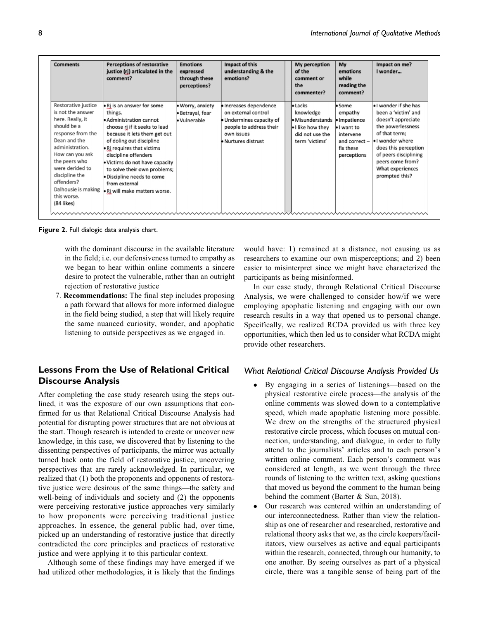| <b>Comments</b>                                                                                                                                                                                                                                         | <b>Perceptions of restorative</b><br>justice (rj) articulated in the<br>comment?                                                                                                                                                                                                                                                                                                              | <b>Emotions</b><br>expressed<br>through these<br>perceptions? | Impact of this<br>understanding & the<br>emotions?                                                                                        | My perception<br>of the<br>comment or<br>the<br>commenter?                                             | My<br>emotions<br>while<br>reading the<br>comment?                                                                   | Impact on me?<br>I wonder                                                                                                                                                                                                           |
|---------------------------------------------------------------------------------------------------------------------------------------------------------------------------------------------------------------------------------------------------------|-----------------------------------------------------------------------------------------------------------------------------------------------------------------------------------------------------------------------------------------------------------------------------------------------------------------------------------------------------------------------------------------------|---------------------------------------------------------------|-------------------------------------------------------------------------------------------------------------------------------------------|--------------------------------------------------------------------------------------------------------|----------------------------------------------------------------------------------------------------------------------|-------------------------------------------------------------------------------------------------------------------------------------------------------------------------------------------------------------------------------------|
| Restorative justice<br>is not the answer<br>here. Really, it<br>should be a<br>response from the<br>Dean and the<br>administration.<br>How can you ask<br>the peers who<br>were derided to<br>discipline the<br>offenders?<br>this worse.<br>(84 likes) | • Rj is an answer for some<br>things.<br>Administration cannot<br>choose rj if it seeks to lead<br>because it lets them get out<br>of doling out discipline<br>. Ri requires that victims<br>discipline offenders<br>. Victims do not have capacity<br>to solve their own problems;<br>· Discipline needs to come<br>from external<br>Dalhousie is making $\cdot$ Rj will make matters worse. | • Worry, anxiety<br>· Betrayal, fear<br>· Vulnerable          | · Increases dependence<br>on external control<br>· Undermines capacity of<br>people to address their<br>own issues<br>• Nurtures distrust | $\bullet$ Lacks<br>knowledge<br>Misunderstands<br>I like how they<br>did not use the<br>term 'victims' | • Some<br>empathy<br>· Impatience<br>$\bullet$ I want to<br>intervene<br>and correct $-$<br>fix these<br>perceptions | I wonder if she has<br>been a 'victim' and<br>doesn't appreciate<br>the powerlessness<br>of that term:<br>I wonder where<br>does this perception<br>of peers disciplining<br>peers come from?<br>What experiences<br>prompted this? |

**Figure 2.** Full dialogic data analysis chart.

with the dominant discourse in the available literature in the field; i.e. our defensiveness turned to empathy as we began to hear within online comments a sincere desire to protect the vulnerable, rather than an outright rejection of restorative justice

7. Recommendations: The final step includes proposing a path forward that allows for more informed dialogue in the field being studied, a step that will likely require the same nuanced curiosity, wonder, and apophatic listening to outside perspectives as we engaged in.

# **Lessons From the Use of Relational Critical Discourse Analysis**

After completing the case study research using the steps outlined, it was the exposure of our own assumptions that confirmed for us that Relational Critical Discourse Analysis had potential for disrupting power structures that are not obvious at the start. Though research is intended to create or uncover new knowledge, in this case, we discovered that by listening to the dissenting perspectives of participants, the mirror was actually turned back onto the field of restorative justice, uncovering perspectives that are rarely acknowledged. In particular, we realized that (1) both the proponents and opponents of restorative justice were desirous of the same things—the safety and well-being of individuals and society and (2) the opponents were perceiving restorative justice approaches very similarly to how proponents were perceiving traditional justice approaches. In essence, the general public had, over time, picked up an understanding of restorative justice that directly contradicted the core principles and practices of restorative justice and were applying it to this particular context.

Although some of these findings may have emerged if we had utilized other methodologies, it is likely that the findings

would have: 1) remained at a distance, not causing us as researchers to examine our own misperceptions; and 2) been easier to misinterpret since we might have characterized the participants as being misinformed.

In our case study, through Relational Critical Discourse Analysis, we were challenged to consider how/if we were employing apophatic listening and engaging with our own research results in a way that opened us to personal change. Specifically, we realized RCDA provided us with three key opportunities, which then led us to consider what RCDA might provide other researchers.

### *What Relational Critical Discourse Analysis Provided Us*

- $\bullet$  By engaging in a series of listenings—based on the physical restorative circle process—the analysis of the online comments was slowed down to a contemplative speed, which made apophatic listening more possible. We drew on the strengths of the structured physical restorative circle process, which focuses on mutual connection, understanding, and dialogue, in order to fully attend to the journalists' articles and to each person's written online comment. Each person's comment was considered at length, as we went through the three rounds of listening to the written text, asking questions that moved us beyond the comment to the human being behind the comment (Barter & Sun, 2018).
- $\bullet$  Our research was centered within an understanding of our interconnectedness. Rather than view the relationship as one of researcher and researched, restorative and relational theory asks that we, as the circle keepers/facilitators, view ourselves as active and equal participants within the research, connected, through our humanity, to one another. By seeing ourselves as part of a physical circle, there was a tangible sense of being part of the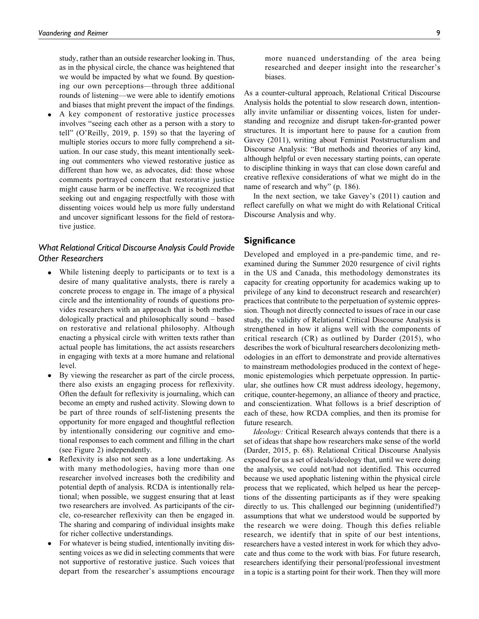study, rather than an outside researcher looking in. Thus, as in the physical circle, the chance was heightened that we would be impacted by what we found. By questioning our own perceptions—through three additional rounds of listening—we were able to identify emotions and biases that might prevent the impact of the findings.

 $\bullet$  A key component of restorative justice processes involves "seeing each other as a person with a story to tell" (O'Reilly, 2019, p. 159) so that the layering of multiple stories occurs to more fully comprehend a situation. In our case study, this meant intentionally seeking out commenters who viewed restorative justice as different than how we, as advocates, did: those whose comments portrayed concern that restorative justice might cause harm or be ineffective. We recognized that seeking out and engaging respectfully with those with dissenting voices would help us more fully understand and uncover significant lessons for the field of restorative justice.

## *What Relational Critical Discourse Analysis Could Provide Other Researchers*

- $\bullet$  While listening deeply to participants or to text is a desire of many qualitative analysts, there is rarely a concrete process to engage in. The image of a physical circle and the intentionality of rounds of questions provides researchers with an approach that is both methodologically practical and philosophically sound – based on restorative and relational philosophy. Although enacting a physical circle with written texts rather than actual people has limitations, the act assists researchers in engaging with texts at a more humane and relational level.
- By viewing the researcher as part of the circle process, there also exists an engaging process for reflexivity. Often the default for reflexivity is journaling, which can become an empty and rushed activity. Slowing down to be part of three rounds of self-listening presents the opportunity for more engaged and thoughtful reflection by intentionally considering our cognitive and emotional responses to each comment and filling in the chart (see Figure 2) independently.
- $\bullet$  Reflexivity is also not seen as a lone undertaking. As with many methodologies, having more than one researcher involved increases both the credibility and potential depth of analysis. RCDA is intentionally relational; when possible, we suggest ensuring that at least two researchers are involved. As participants of the circle, co-researcher reflexivity can then be engaged in. The sharing and comparing of individual insights make for richer collective understandings.
- $\bullet$  For whatever is being studied, intentionally inviting dissenting voices as we did in selecting comments that were not supportive of restorative justice. Such voices that depart from the researcher's assumptions encourage

more nuanced understanding of the area being researched and deeper insight into the researcher's biases.

As a counter-cultural approach, Relational Critical Discourse Analysis holds the potential to slow research down, intentionally invite unfamiliar or dissenting voices, listen for understanding and recognize and disrupt taken-for-granted power structures. It is important here to pause for a caution from Gavey (2011), writing about Feminist Poststructuralism and Discourse Analysis: "But methods and theories of any kind, although helpful or even necessary starting points, can operate to discipline thinking in ways that can close down careful and creative reflexive considerations of what we might do in the name of research and why" (p. 186).

In the next section, we take Gavey's (2011) caution and reflect carefully on what we might do with Relational Critical Discourse Analysis and why.

### **Significance**

Developed and employed in a pre-pandemic time, and reexamined during the Summer 2020 resurgence of civil rights in the US and Canada, this methodology demonstrates its capacity for creating opportunity for academics waking up to privilege of any kind to deconstruct research and research(er) practices that contribute to the perpetuation of systemic oppression. Though not directly connected to issues of race in our case study, the validity of Relational Critical Discourse Analysis is strengthened in how it aligns well with the components of critical research (CR) as outlined by Darder (2015), who describes the work of bicultural researchers decolonizing methodologies in an effort to demonstrate and provide alternatives to mainstream methodologies produced in the context of hegemonic epistemologies which perpetuate oppression. In particular, she outlines how CR must address ideology, hegemony, critique, counter-hegemony, an alliance of theory and practice, and conscientization. What follows is a brief description of each of these, how RCDA complies, and then its promise for future research.

Ideology: Critical Research always contends that there is a set of ideas that shape how researchers make sense of the world (Darder, 2015, p. 68). Relational Critical Discourse Analysis exposed for us a set of ideals/ideology that, until we were doing the analysis, we could not/had not identified. This occurred because we used apophatic listening within the physical circle process that we replicated, which helped us hear the perceptions of the dissenting participants as if they were speaking directly to us. This challenged our beginning (unidentified?) assumptions that what we understood would be supported by the research we were doing. Though this defies reliable research, we identify that in spite of our best intentions, researchers have a vested interest in work for which they advocate and thus come to the work with bias. For future research, researchers identifying their personal/professional investment in a topic is a starting point for their work. Then they will more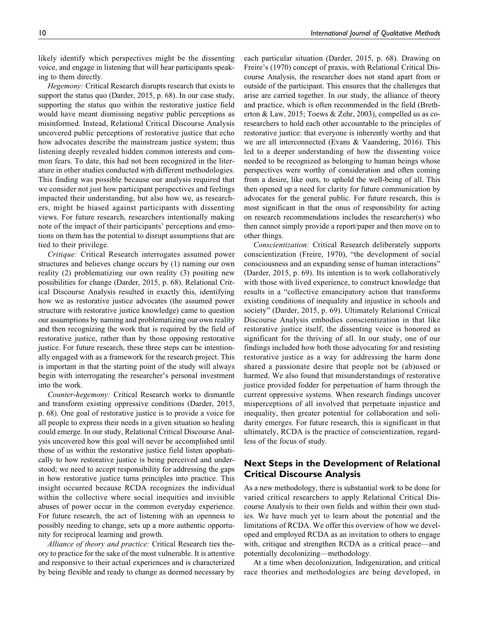likely identify which perspectives might be the dissenting voice, and engage in listening that will hear participants speaking to them directly.

Hegemony: Critical Research disrupts research that exists to support the status quo (Darder, 2015, p. 68). In our case study, supporting the status quo within the restorative justice field would have meant dismissing negative public perceptions as misinformed. Instead, Relational Critical Discourse Analysis uncovered public perceptions of restorative justice that echo how advocates describe the mainstream justice system; thus listening deeply revealed hidden common interests and common fears. To date, this had not been recognized in the literature in other studies conducted with different methodologies. This finding was possible because our analysis required that we consider not just how participant perspectives and feelings impacted their understanding, but also how we, as researchers, might be biased against participants with dissenting views. For future research, researchers intentionally making note of the impact of their participants' perceptions and emotions on them has the potential to disrupt assumptions that are tied to their privilege.

Critique: Critical Research interrogates assumed power structures and believes change occurs by (1) naming our own reality (2) problematizing our own reality (3) positing new possibilities for change (Darder, 2015, p. 68). Relational Critical Discourse Analysis resulted in exactly this, identifying how we as restorative justice advocates (the assumed power structure with restorative justice knowledge) came to question our assumptions by naming and problematizing our own reality and then recognizing the work that is required by the field of restorative justice, rather than by those opposing restorative justice. For future research, these three steps can be intentionally engaged with as a framework for the research project. This is important in that the starting point of the study will always begin with interrogating the researcher's personal investment into the work.

Counter-hegemony: Critical Research works to dismantle and transform existing oppressive conditions (Darder, 2015, p. 68). One goal of restorative justice is to provide a voice for all people to express their needs in a given situation so healing could emerge. In our study, Relational Critical Discourse Analysis uncovered how this goal will never be accomplished until those of us within the restorative justice field listen apophatically to how restorative justice is being perceived and understood; we need to accept responsibility for addressing the gaps in how restorative justice turns principles into practice. This insight occurred because RCDA recognizes the individual within the collective where social inequities and invisible abuses of power occur in the common everyday experience. For future research, the act of listening with an openness to possibly needing to change, sets up a more authentic opportunity for reciprocal learning and growth.

Alliance of theory and practice: Critical Research ties theory to practice for the sake of the most vulnerable. It is attentive and responsive to their actual experiences and is characterized by being flexible and ready to change as deemed necessary by each particular situation (Darder, 2015, p. 68). Drawing on Freire's (1970) concept of praxis, with Relational Critical Discourse Analysis, the researcher does not stand apart from or outside of the participant. This ensures that the challenges that arise are carried together. In our study, the alliance of theory and practice, which is often recommended in the field (Bretherton & Law, 2015; Toews & Zehr, 2003), compelled us as coresearchers to hold each other accountable to the principles of restorative justice: that everyone is inherently worthy and that we are all interconnected (Evans & Vaandering, 2016). This led to a deeper understanding of how the dissenting voice needed to be recognized as belonging to human beings whose perspectives were worthy of consideration and often coming from a desire, like ours, to uphold the well-being of all. This then opened up a need for clarity for future communication by advocates for the general public. For future research, this is most significant in that the onus of responsibility for acting on research recommendations includes the researcher(s) who then cannot simply provide a report/paper and then move on to other things.

Conscientization: Critical Research deliberately supports conscientization (Freire, 1970), "the development of social consciousness and an expanding sense of human interactions" (Darder, 2015, p. 69). Its intention is to work collaboratively with those with lived experience, to construct knowledge that results in a "collective emancipatory action that transforms existing conditions of inequality and injustice in schools and society" (Darder, 2015, p. 69). Ultimately Relational Critical Discourse Analysis embodies conscientization in that like restorative justice itself, the dissenting voice is honored as significant for the thriving of all. In our study, one of our findings included how both those advocating for and resisting restorative justice as a way for addressing the harm done shared a passionate desire that people not be (ab)used or harmed. We also found that misunderstandings of restorative justice provided fodder for perpetuation of harm through the current oppressive systems. When research findings uncover misperceptions of all involved that perpetuate injustice and inequality, then greater potential for collaboration and solidarity emerges. For future research, this is significant in that ultimately, RCDA is the practice of conscientization, regardless of the focus of study.

### **Next Steps in the Development of Relational Critical Discourse Analysis**

As a new methodology, there is substantial work to be done for varied critical researchers to apply Relational Critical Discourse Analysis to their own fields and within their own studies. We have much yet to learn about the potential and the limitations of RCDA. We offer this overview of how we developed and employed RCDA as an invitation to others to engage with, critique and strengthen RCDA as a critical peace—and potentially decolonizing—methodology.

At a time when decolonization, Indigenization, and critical race theories and methodologies are being developed, in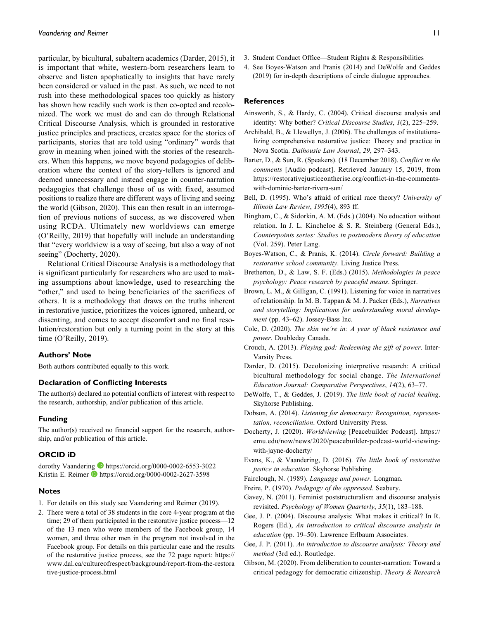particular, by bicultural, subaltern academics (Darder, 2015), it is important that white, western-born researchers learn to observe and listen apophatically to insights that have rarely been considered or valued in the past. As such, we need to not rush into these methodological spaces too quickly as history has shown how readily such work is then co-opted and recolonized. The work we must do and can do through Relational Critical Discourse Analysis, which is grounded in restorative justice principles and practices, creates space for the stories of participants, stories that are told using "ordinary" words that grow in meaning when joined with the stories of the researchers. When this happens, we move beyond pedagogies of deliberation where the context of the story-tellers is ignored and deemed unnecessary and instead engage in counter-narration pedagogies that challenge those of us with fixed, assumed positions to realize there are different ways of living and seeing the world (Gibson, 2020). This can then result in an interrogation of previous notions of success, as we discovered when using RCDA. Ultimately new worldviews can emerge (O'Reilly, 2019) that hopefully will include an understanding that "every worldview is a way of seeing, but also a way of not seeing" (Docherty, 2020).

Relational Critical Discourse Analysis is a methodology that is significant particularly for researchers who are used to making assumptions about knowledge, used to researching the "other," and used to being beneficiaries of the sacrifices of others. It is a methodology that draws on the truths inherent in restorative justice, prioritizes the voices ignored, unheard, or dissenting, and comes to accept discomfort and no final resolution/restoration but only a turning point in the story at this time (O'Reilly, 2019).

#### **Authors' Note**

Both authors contributed equally to this work.

#### **Declaration of Conflicting Interests**

The author(s) declared no potential conflicts of interest with respect to the research, authorship, and/or publication of this article.

#### **Funding**

The author(s) received no financial support for the research, authorship, and/or publication of this article.

### **ORCID iD**

dorothy Vaandering <https://orcid.org/0000-0002-6553-3022> Kristin E. Reimer D <https://orcid.org/0000-0002-2627-3598>

#### **Notes**

- 1. For details on this study see Vaandering and Reimer (2019).
- 2. There were a total of 38 students in the core 4-year program at the time; 29 of them participated in the restorative justice process—12 of the 13 men who were members of the Facebook group, 14 women, and three other men in the program not involved in the Facebook group. For details on this particular case and the results of the restorative justice process, see the 72 page report: [https://](https://www.dal.ca/cultureofrespect/background/report-from-the-restorative-justice-process.html) [www.dal.ca/cultureofrespect/background/report-from-the-restora](https://www.dal.ca/cultureofrespect/background/report-from-the-restorative-justice-process.html) [tive-justice-process.html](https://www.dal.ca/cultureofrespect/background/report-from-the-restorative-justice-process.html)

4. See Boyes-Watson and Pranis (2014) and DeWolfe and Geddes (2019) for in-depth descriptions of circle dialogue approaches.

### **References**

- Ainsworth, S., & Hardy, C. (2004). Critical discourse analysis and identity: Why bother? Critical Discourse Studies, 1(2), 225–259.
- Archibald, B., & Llewellyn, J. (2006). The challenges of institutionalizing comprehensive restorative justice: Theory and practice in Nova Scotia. Dalhousie Law Journal, 29, 297–343.
- Barter, D., & Sun, R. (Speakers). (18 December 2018). Conflict in the comments [Audio podcast]. Retrieved January 15, 2019, from [https://restorativejusticeontherise.org/conflict-in-the-comments](https://restorativejusticeontherise.org/conflict-in-the-comments-with-dominic-barter-rivera-sun/)[with-dominic-barter-rivera-sun/](https://restorativejusticeontherise.org/conflict-in-the-comments-with-dominic-barter-rivera-sun/)
- Bell, D. (1995). Who's afraid of critical race theory? University of Illinois Law Review, 1995(4), 893 ff.
- Bingham, C., & Sidorkin, A. M. (Eds.) (2004). No education without relation. In J. L. Kincheloe & S. R. Steinberg (General Eds.), Counterpoints series: Studies in postmodern theory of education (Vol. 259). Peter Lang.
- Boyes-Watson, C., & Pranis, K. (2014). Circle forward: Building a restorative school community. Living Justice Press.
- Bretherton, D., & Law, S. F. (Eds.) (2015). Methodologies in peace psychology: Peace research by peaceful means. Springer.
- Brown, L. M., & Gilligan, C. (1991). Listening for voice in narratives of relationship. In M. B. Tappan & M. J. Packer (Eds.), Narratives and storytelling: Implications for understanding moral development (pp. 43–62). Jossey-Bass Inc.
- Cole, D. (2020). The skin we're in: A year of black resistance and power. Doubleday Canada.
- Crouch, A. (2013). Playing god: Redeeming the gift of power. Inter-Varsity Press.
- Darder, D. (2015). Decolonizing interpretive research: A critical bicultural methodology for social change. The International Education Journal: Comparative Perspectives, 14(2), 63–77.
- DeWolfe, T., & Geddes, J. (2019). The little book of racial healing. Skyhorse Publishing.
- Dobson, A. (2014). Listening for democracy: Recognition, representation, reconciliation. Oxford University Press.
- Docherty, J. (2020). Worldviewing [Peacebuilder Podcast]. [https://](https://emu.edu/now/news/2020/peacebuilder-podcast-world-viewing-with-jayne-docherty/) [emu.edu/now/news/2020/peacebuilder-podcast-world-viewing](https://emu.edu/now/news/2020/peacebuilder-podcast-world-viewing-with-jayne-docherty/)[with-jayne-docherty/](https://emu.edu/now/news/2020/peacebuilder-podcast-world-viewing-with-jayne-docherty/)
- Evans, K., & Vaandering, D. (2016). The little book of restorative justice in education. Skyhorse Publishing.
- Fairclough, N. (1989). Language and power. Longman.
- Freire, P. (1970). Pedagogy of the oppressed. Seabury.
- Gavey, N. (2011). Feminist poststructuralism and discourse analysis revisited. Psychology of Women Quarterly, 35(1), 183–188.
- Gee, J. P. (2004). Discourse analysis: What makes it critical? In R. Rogers (Ed.), An introduction to critical discourse analysis in education (pp. 19–50). Lawrence Erlbaum Associates.
- Gee, J. P. (2011). An introduction to discourse analysis: Theory and method (3rd ed.). Routledge.
- Gibson, M. (2020). From deliberation to counter-narration: Toward a critical pedagogy for democratic citizenship. Theory & Research